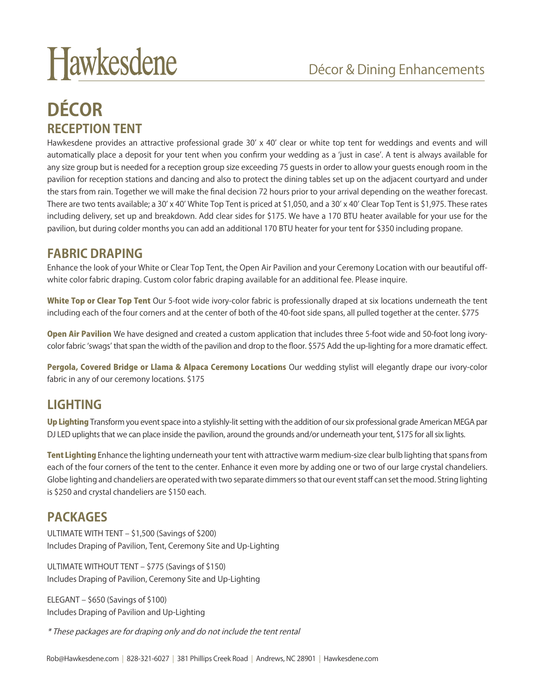# Hawkesdene

# **DÉCOR RECEPTION TENT**

Hawkesdene provides an attractive professional grade 30' x 40' clear or white top tent for weddings and events and will automatically place a deposit for your tent when you confirm your wedding as a 'just in case'. A tent is always available for any size group but is needed for a reception group size exceeding 75 guests in order to allow your guests enough room in the pavilion for reception stations and dancing and also to protect the dining tables set up on the adjacent courtyard and under the stars from rain. Together we will make the final decision 72 hours prior to your arrival depending on the weather forecast. There are two tents available; a 30' x 40' White Top Tent is priced at \$1,050, and a 30' x 40' Clear Top Tent is \$1,975. These rates including delivery, set up and breakdown. Add clear sides for \$175. We have a 170 BTU heater available for your use for the pavilion, but during colder months you can add an additional 170 BTU heater for your tent for \$350 including propane.

### **FABRIC DRAPING**

Enhance the look of your White or Clear Top Tent, the Open Air Pavilion and your Ceremony Location with our beautiful offwhite color fabric draping. Custom color fabric draping available for an additional fee. Please inquire.

White Top or Clear Top Tent Our 5-foot wide ivory-color fabric is professionally draped at six locations underneath the tent including each of the four corners and at the center of both of the 40-foot side spans, all pulled together at the center. \$775

Open Air Pavilion We have designed and created a custom application that includes three 5-foot wide and 50-foot long ivorycolor fabric 'swags' that span the width of the pavilion and drop to the floor. \$575 Add the up-lighting for a more dramatic effect.

Pergola, Covered Bridge or Llama & Alpaca Ceremony Locations Our wedding stylist will elegantly drape our ivory-color fabric in any of our ceremony locations. \$175

## **LIGHTING**

Up Lighting Transform you event space into a stylishly-lit setting with the addition of our six professional grade American MEGA par DJ LED uplights that we can place inside the pavilion, around the grounds and/or underneath your tent, \$175 for all six lights.

Tent Lighting Enhance the lighting underneath your tent with attractive warm medium-size clear bulb lighting that spans from each of the four corners of the tent to the center. Enhance it even more by adding one or two of our large crystal chandeliers. Globe lighting and chandeliers are operated with two separate dimmers so that our event staff can set the mood. String lighting is \$250 and crystal chandeliers are \$150 each.

## **PACKAGES**

ULTIMATE WITH TENT – \$1,500 (Savings of \$200) Includes Draping of Pavilion, Tent, Ceremony Site and Up-Lighting

ULTIMATE WITHOUT TENT – \$775 (Savings of \$150) Includes Draping of Pavilion, Ceremony Site and Up-Lighting

ELEGANT – \$650 (Savings of \$100) Includes Draping of Pavilion and Up-Lighting

\* These packages are for draping only and do not include the tent rental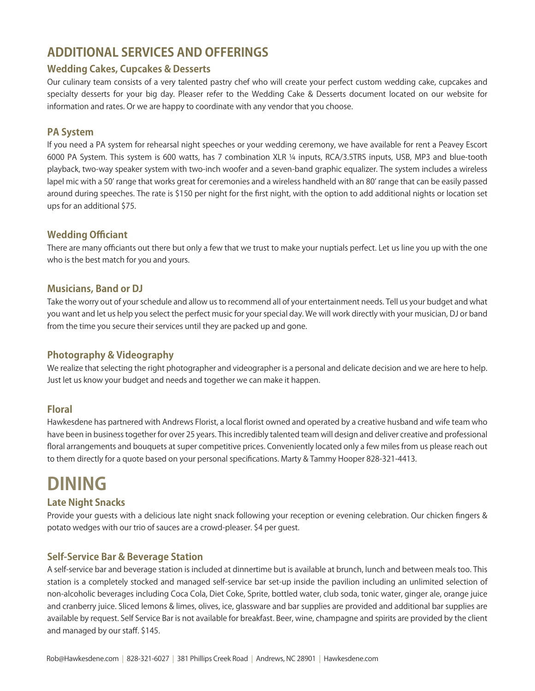# **ADDITIONAL SERVICES AND OFFERINGS**

### **Wedding Cakes, Cupcakes & Desserts**

Our culinary team consists of a very talented pastry chef who will create your perfect custom wedding cake, cupcakes and specialty desserts for your big day. Pleaser refer to the Wedding Cake & Desserts document located on our website for information and rates. Or we are happy to coordinate with any vendor that you choose.

### **PA System**

If you need a PA system for rehearsal night speeches or your wedding ceremony, we have available for rent a Peavey Escort 6000 PA System. This system is 600 watts, has 7 combination XLR ¼ inputs, RCA/3.5TRS inputs, USB, MP3 and blue-tooth playback, two-way speaker system with two-inch woofer and a seven-band graphic equalizer. The system includes a wireless lapel mic with a 50' range that works great for ceremonies and a wireless handheld with an 80' range that can be easily passed around during speeches. The rate is \$150 per night for the first night, with the option to add additional nights or location set ups for an additional \$75.

### **Wedding Officiant**

There are many officiants out there but only a few that we trust to make your nuptials perfect. Let us line you up with the one who is the best match for you and yours.

### **Musicians, Band or DJ**

Take the worry out of your schedule and allow us to recommend all of your entertainment needs. Tell us your budget and what you want and let us help you select the perfect music for your special day. We will work directly with your musician, DJ or band from the time you secure their services until they are packed up and gone.

### **Photography & Videography**

We realize that selecting the right photographer and videographer is a personal and delicate decision and we are here to help. Just let us know your budget and needs and together we can make it happen.

### **Floral**

Hawkesdene has partnered with Andrews Florist, a local florist owned and operated by a creative husband and wife team who have been in business together for over 25 years. This incredibly talented team will design and deliver creative and professional floral arrangements and bouquets at super competitive prices. Conveniently located only a few miles from us please reach out to them directly for a quote based on your personal specifications. Marty & Tammy Hooper 828-321-4413.

# **DINING**

### **Late Night Snacks**

Provide your guests with a delicious late night snack following your reception or evening celebration. Our chicken fingers & potato wedges with our trio of sauces are a crowd-pleaser. \$4 per guest.

### **Self-Service Bar & Beverage Station**

A self-service bar and beverage station is included at dinnertime but is available at brunch, lunch and between meals too. This station is a completely stocked and managed self-service bar set-up inside the pavilion including an unlimited selection of non-alcoholic beverages including Coca Cola, Diet Coke, Sprite, bottled water, club soda, tonic water, ginger ale, orange juice and cranberry juice. Sliced lemons & limes, olives, ice, glassware and bar supplies are provided and additional bar supplies are available by request. Self Service Bar is not available for breakfast. Beer, wine, champagne and spirits are provided by the client and managed by our staff. \$145.